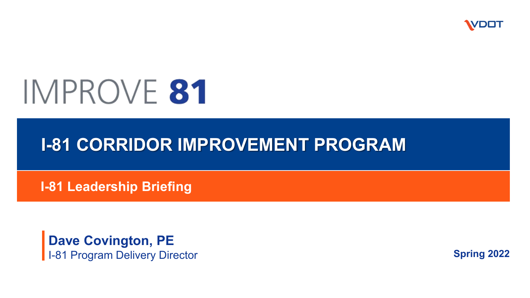

# IMPROVE 81

#### **I-81 CORRIDOR IMPROVEMENT PROGRAM**

**I-81 Leadership Briefing**

**Dave Covington, PE** I-81 Program Delivery Director

**Spring 2022**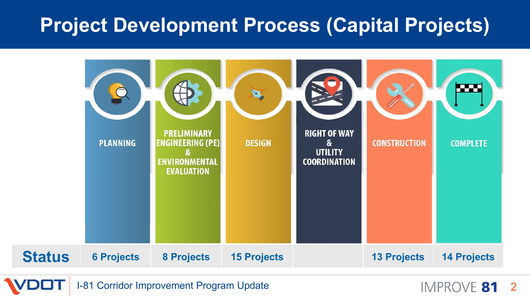#### **Project Development Process (Capital Projects)**



I-81 Corridor Improvement Program Update **2008** 2012 12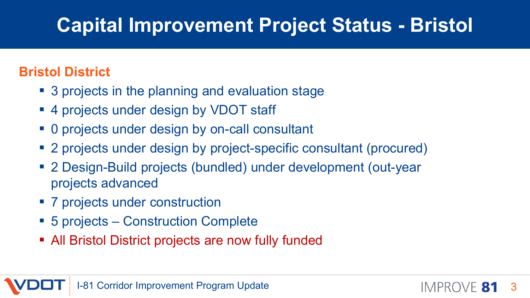## **Capital Improvement Project Status - Bristol**

#### **Bristol District**

- 3 projects in the planning and evaluation stage
- 4 projects under design by VDOT staff
- 0 projects under design by on-call consultant
- 2 projects under design by project-specific consultant (procured)
- 2 Design-Build projects (bundled) under development (out-year projects advanced
- 7 projects under construction
- 5 projects Construction Complete
- All Bristol District projects are now fully funded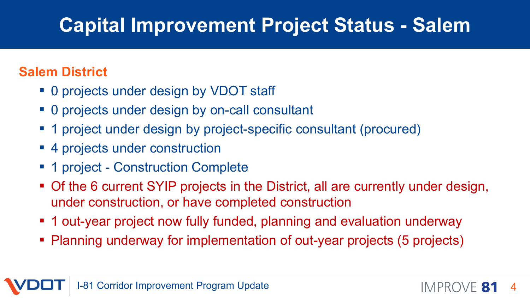## **Capital Improvement Project Status - Salem**

#### **Salem District**

- 0 projects under design by VDOT staff
- 0 projects under design by on-call consultant
- 1 project under design by project-specific consultant (procured)
- 4 projects under construction
- 1 project Construction Complete
- Of the 6 current SYIP projects in the District, all are currently under design, under construction, or have completed construction
- **1 out-year project now fully funded, planning and evaluation underway**
- Planning underway for implementation of out-year projects (5 projects)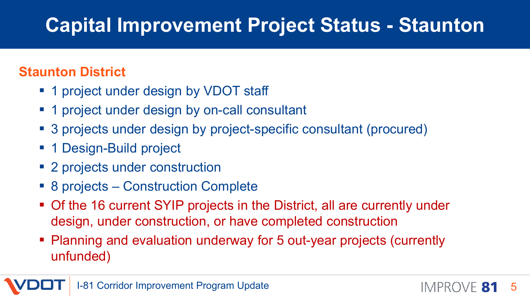## **Capital Improvement Project Status - Staunton**

#### **Staunton District**

- **1 project under design by VDOT staff**
- **1** project under design by on-call consultant
- 3 projects under design by project-specific consultant (procured)
- 1 Design-Build project
- 2 projects under construction
- 8 projects Construction Complete
- Of the 16 current SYIP projects in the District, all are currently under design, under construction, or have completed construction
- Planning and evaluation underway for 5 out-year projects (currently unfunded)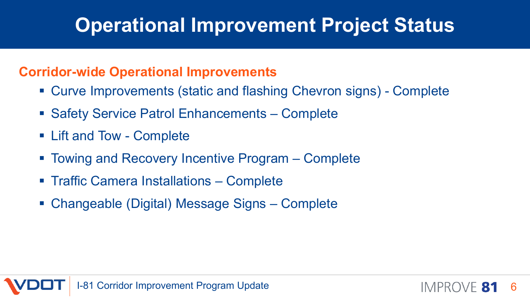### **Operational Improvement Project Status**

#### **Corridor-wide Operational Improvements**

- Curve Improvements (static and flashing Chevron signs) Complete
- Safety Service Patrol Enhancements Complete
- Lift and Tow Complete
- Towing and Recovery Incentive Program Complete
- **Traffic Camera Installations Complete**
- Changeable (Digital) Message Signs Complete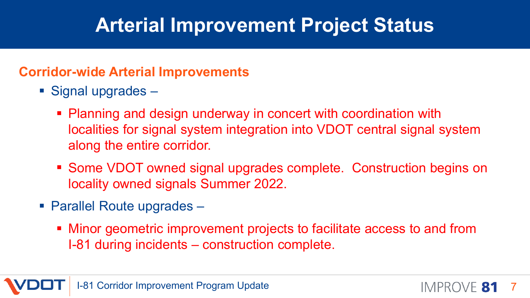### **Arterial Improvement Project Status**

#### **Corridor-wide Arterial Improvements**

- Signal upgrades
	- **Planning and design underway in concert with coordination with** localities for signal system integration into VDOT central signal system along the entire corridor.
	- Some VDOT owned signal upgrades complete. Construction begins on locality owned signals Summer 2022.
- Parallel Route upgrades
	- Minor geometric improvement projects to facilitate access to and from I-81 during incidents – construction complete.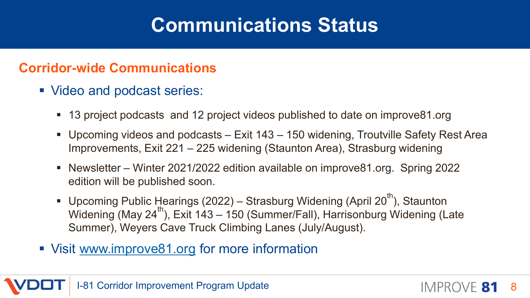### **Communications Status**

#### **Corridor-wide Communications**

- Video and podcast series:
	- 13 project podcasts and 12 project videos published to date on improve81.org
	- Upcoming videos and podcasts Exit 143 150 widening, Troutville Safety Rest Area Improvements, Exit 221 – 225 widening (Staunton Area), Strasburg widening
	- Newsletter Winter 2021/2022 edition available on improve81.org. Spring 2022 edition will be published soon.
	- Upcoming Public Hearings (2022) Strasburg Widening (April 20<sup>th</sup>), Staunton Widening (May 24<sup>th</sup>), Exit 143 – 150 (Summer/Fall), Harrisonburg Widening (Late Summer), Weyers Cave Truck Climbing Lanes (July/August).
- Visit [www.improve81.org](http://www.improve81.org/) for more information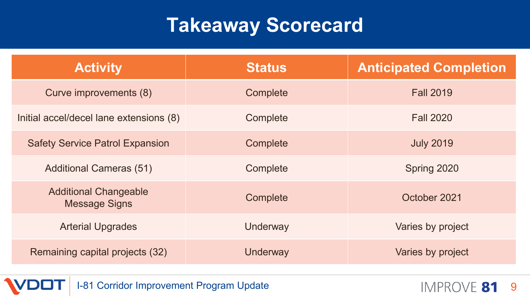### **Takeaway Scorecard**

| <b>Activity</b>                                      | <b>Status</b> | <b>Anticipated Completion</b> |
|------------------------------------------------------|---------------|-------------------------------|
| Curve improvements (8)                               | Complete      | <b>Fall 2019</b>              |
| Initial accel/decel lane extensions (8)              | Complete      | <b>Fall 2020</b>              |
| <b>Safety Service Patrol Expansion</b>               | Complete      | <b>July 2019</b>              |
| <b>Additional Cameras (51)</b>                       | Complete      | Spring 2020                   |
| <b>Additional Changeable</b><br><b>Message Signs</b> | Complete      | October 2021                  |
| <b>Arterial Upgrades</b>                             | Underway      | Varies by project             |
| Remaining capital projects (32)                      | Underway      | Varies by project             |

I-81 Corridor Improvement Program Update

IMPROVE 81 9